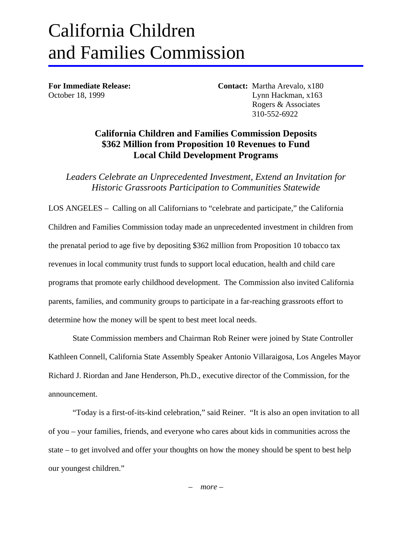## California Children and Families Commission

**For Immediate Release: Contact:** Martha Arevalo, x180 October 18, 1999 Lynn Hackman, x163 Rogers & Associates 310-552-6922

## **California Children and Families Commission Deposits \$362 Million from Proposition 10 Revenues to Fund Local Child Development Programs**

*Leaders Celebrate an Unprecedented Investment, Extend an Invitation for Historic Grassroots Participation to Communities Statewide* 

LOS ANGELES – Calling on all Californians to "celebrate and participate," the California Children and Families Commission today made an unprecedented investment in children from the prenatal period to age five by depositing \$362 million from Proposition 10 tobacco tax revenues in local community trust funds to support local education, health and child care programs that promote early childhood development. The Commission also invited California parents, families, and community groups to participate in a far-reaching grassroots effort to determine how the money will be spent to best meet local needs.

State Commission members and Chairman Rob Reiner were joined by State Controller Kathleen Connell, California State Assembly Speaker Antonio Villaraigosa, Los Angeles Mayor Richard J. Riordan and Jane Henderson, Ph.D., executive director of the Commission, for the announcement.

"Today is a first-of-its-kind celebration," said Reiner. "It is also an open invitation to all of you – your families, friends, and everyone who cares about kids in communities across the state – to get involved and offer your thoughts on how the money should be spent to best help our youngest children."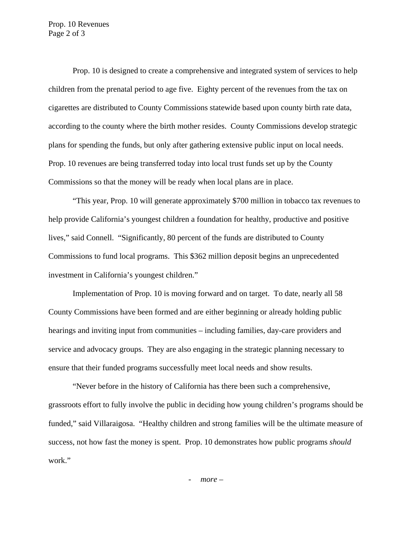Prop. 10 Revenues Page 2 of 3

Prop. 10 is designed to create a comprehensive and integrated system of services to help children from the prenatal period to age five. Eighty percent of the revenues from the tax on cigarettes are distributed to County Commissions statewide based upon county birth rate data, according to the county where the birth mother resides. County Commissions develop strategic plans for spending the funds, but only after gathering extensive public input on local needs. Prop. 10 revenues are being transferred today into local trust funds set up by the County Commissions so that the money will be ready when local plans are in place.

"This year, Prop. 10 will generate approximately \$700 million in tobacco tax revenues to help provide California's youngest children a foundation for healthy, productive and positive lives," said Connell. "Significantly, 80 percent of the funds are distributed to County Commissions to fund local programs. This \$362 million deposit begins an unprecedented investment in California's youngest children."

Implementation of Prop. 10 is moving forward and on target. To date, nearly all 58 County Commissions have been formed and are either beginning or already holding public hearings and inviting input from communities – including families, day-care providers and service and advocacy groups. They are also engaging in the strategic planning necessary to ensure that their funded programs successfully meet local needs and show results.

"Never before in the history of California has there been such a comprehensive, grassroots effort to fully involve the public in deciding how young children's programs should be funded," said Villaraigosa. "Healthy children and strong families will be the ultimate measure of success, not how fast the money is spent. Prop. 10 demonstrates how public programs *should* work."